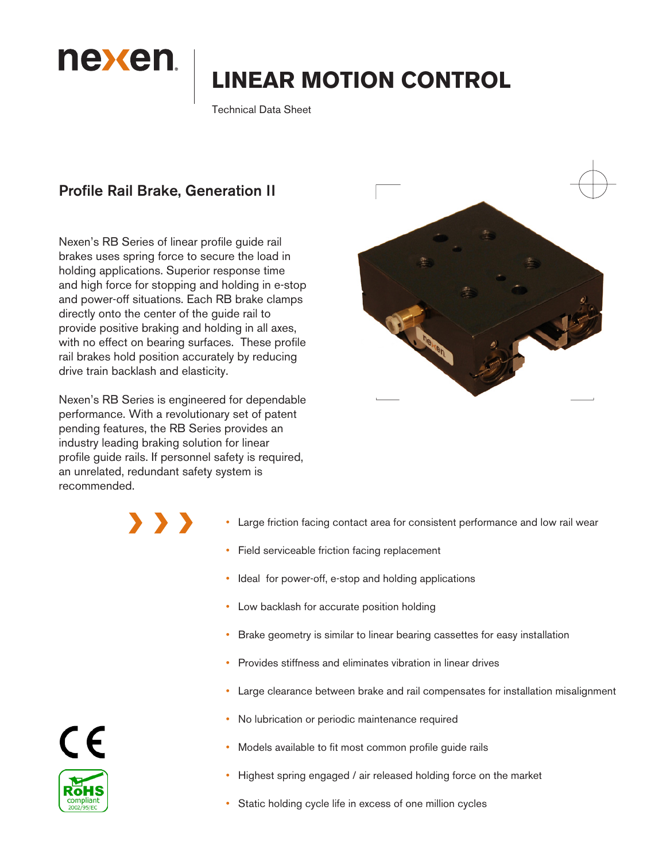

# **LINEAR MOTION CONTROL**

Technical Data Sheet

# Profile Rail Brake, Generation II

Nexen's RB Series of linear profile guide rail brakes uses spring force to secure the load in holding applications. Superior response time and high force for stopping and holding in e-stop and power-off situations. Each RB brake clamps directly onto the center of the guide rail to provide positive braking and holding in all axes, with no effect on bearing surfaces. These profile rail brakes hold position accurately by reducing drive train backlash and elasticity.

Nexen's RB Series is engineered for dependable performance. With a revolutionary set of patent pending features, the RB Series provides an industry leading braking solution for linear profile guide rails. If personnel safety is required, an unrelated, redundant safety system is recommended.

 $\sum_{i=1}^{n}$ 



- Large friction facing contact area for consistent performance and low rail wear
- Field serviceable friction facing replacement
- Ideal for power-off, e-stop and holding applications
- Low backlash for accurate position holding
- Brake geometry is similar to linear bearing cassettes for easy installation
- Provides stiffness and eliminates vibration in linear drives
- Large clearance between brake and rail compensates for installation misalignment
- No lubrication or periodic maintenance required
- Models available to fit most common profile guide rails
- Highest spring engaged / air released holding force on the market
- Static holding cycle life in excess of one million cycles

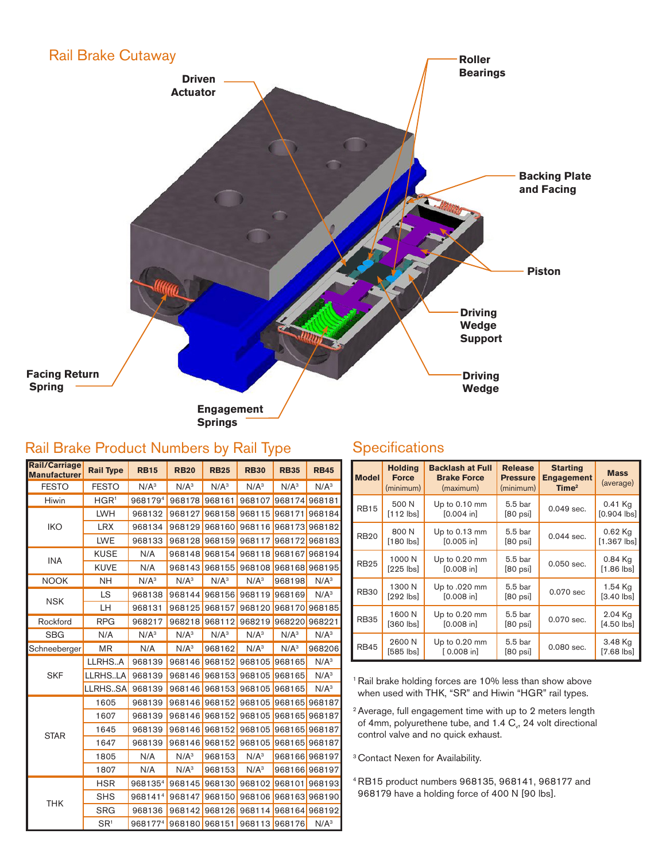### Rail Brake Cutaway



 **Springs**

# Rail Brake Product Numbers by Rail Type

## **Specifications**

| Rail/Carriage<br>Manufacturer | <b>Rail Type</b>   | <b>RB15</b>      | <b>RB20</b>      | <b>RB25</b>      | <b>RB30</b>      | <b>RB35</b>      | <b>RB45</b>      |
|-------------------------------|--------------------|------------------|------------------|------------------|------------------|------------------|------------------|
| <b>FESTO</b>                  | <b>FESTO</b>       | N/A <sup>3</sup> | N/A <sup>3</sup> | N/A <sup>3</sup> | N/A <sup>3</sup> | N/A <sup>3</sup> | N/A <sup>3</sup> |
| Hiwin<br>HGR <sup>1</sup>     |                    | 9681794          | 968178           | 968161           | 968107           | 968174 968181    |                  |
|                               | <b>LWH</b>         | 968132           | 968127           | 968158           | 968115           | 968171           | 968184           |
| <b>IKO</b>                    | <b>LRX</b>         | 968134           | 968129           | 968160           | 968116           | 968173           | 968182           |
|                               | <b>LWE</b>         | 968133           | 968128           | 968159           | 968117           | 968172           | 968183           |
|                               | <b>KUSE</b>        | N/A              |                  | 968148 968154    | 968118 968167    |                  | 968194           |
| <b>INA</b>                    | <b>KUVE</b>        | N/A              | 968143           | 968155           | 968108           | 968168           | 968195           |
| <b>NOOK</b>                   | NΗ                 | N/A <sup>3</sup> | N/A <sup>3</sup> | N/A <sup>3</sup> | N/A <sup>3</sup> | 968198           | N/A <sup>3</sup> |
|                               | LS                 | 968138           | 968144           | 968156           | 968119           | 968169           | N/A <sup>3</sup> |
| <b>NSK</b>                    | LН                 | 968131           | 968125           | 968157           | 968120           | 968170           | 968185           |
| Rockford                      | <b>RPG</b>         | 968217           | 968218           | 968112           | 968220<br>968219 |                  | 968221           |
| <b>SBG</b>                    | N/A                | N/A <sup>3</sup> | N/A <sup>3</sup> | N/A <sup>3</sup> | N/A <sup>3</sup> | N/A <sup>3</sup> | N/A <sup>3</sup> |
| Schneeberger                  | MR                 | N/A              | $N/A^3$          | 968162           | $N/A^3$          | N/A <sup>3</sup> | 968206           |
|                               | LLRHSA             | 968139           | 968146           | 968152           | 968105           | 968165           | $N/A^3$          |
| <b>SKF</b>                    | LLRHSLA            | 968139           | 968146           | 968153           | 968105           | 968165           | N/A <sup>3</sup> |
|                               | LLRHSSA            | 968139           | 968146           | 968153           | 968105           | 968165           | N/A <sup>3</sup> |
|                               | 1605               | 968139           | 968146 968152    |                  | 968105           | 968165 968187    |                  |
|                               | 1607               | 968139           | 968146           | 968152           | 968105           | 968165           | 968187           |
| <b>STAR</b>                   | 1645               | 968139           | 968146           | 968152           | 968105           | 968165           | 968187           |
|                               | 1647               | 968139           | 968146           | 968152           | 968105           | 968165           | 968187           |
|                               | 1805               | N/A              | N/A <sup>3</sup> | 968153           | N/A <sup>3</sup> | 968166           | 968197           |
|                               | 1807               | N/A              | N/A <sup>3</sup> | 968153           | N/A <sup>3</sup> |                  | 968166 968197    |
|                               | <b>HSR</b>         | 9681354          | 968145           | 968130           | 968102           | 968101           | 968193           |
|                               | <b>SHS</b>         | 9681414          | 968147           | 968150           | 968106           | 968163           | 968190           |
| <b>THK</b>                    | <b>SRG</b>         | 968136           | 968142           | 968126           | 968114           |                  | 968164 968192    |
|                               | $S_{\mathsf{R}^1}$ | 9681774          | 968180           | 968151           | 968113 968176    |                  | N/A <sup>3</sup> |

| <b>Model</b> | <b>Holding</b><br><b>Force</b><br>(minimum) | <b>Backlash at Full</b><br><b>Brake Force</b><br>(maximum) | <b>Release</b><br><b>Pressure</b><br>(minimum) | <b>Starting</b><br><b>Engagement</b><br>Time <sup>2</sup> | <b>Mass</b><br>(average)  |
|--------------|---------------------------------------------|------------------------------------------------------------|------------------------------------------------|-----------------------------------------------------------|---------------------------|
| <b>RB15</b>  | 500 N<br>$[112$ lbs]                        | Up to 0.10 mm<br>$[0.004]$ in]                             | 5.5 bar<br>$[80$ psi]                          | 0.049 sec.                                                | 0.41 Kg<br>$[0.904$ lbs   |
| <b>RB20</b>  | 800 N<br>$[180$ lbs]                        | Up to 0.13 mm<br>$[0.005$ in                               | 5.5 bar<br>$[80$ psi]                          | 0.044 sec.                                                | $0.62$ Kg<br>$[1.367$ lbs |
| <b>RB25</b>  | 1000 N<br>$[225$ $\text{ls}]$               | Up to 0.20 mm<br>[0.008 in]                                | 5.5 bar<br>$[80$ psi]                          | $0.050$ sec.                                              | 0.84 Kg<br>$[1.86$ lbs]   |
| <b>RB30</b>  | 1300 N<br>$[292$ $ bs]$                     | Up to .020 mm<br>$[0.008$ in]                              | 5.5 bar<br>$[80 \text{ psi}]$                  | 0.070 sec                                                 | 1.54 Kg<br>$[3.40$ lbs]   |
| <b>RB35</b>  | 1600 N<br>$[360$ $ bs]$                     | Up to 0.20 mm<br>$[0.008]$ in                              | 5.5 bar<br>$[80 \text{ psi}]$                  | 0.070 sec.                                                | 2.04 Kg<br>$[4.50$ lbs]   |
| <b>RB45</b>  | 2600 N<br>$[585$ $\vert$ bs]                | Up to 0.20 mm<br>$[0.008]$ in                              | 5.5 bar<br>$[80 \text{ psi}]$                  | 0.080 sec.                                                | 3.48 Kg<br>$[7.68$ lbs]   |

<sup>1</sup> Rail brake holding forces are 10% less than show above when used with THK, "SR" and Hiwin "HGR" rail types.

2 Average, full engagement time with up to 2 meters length of 4mm, polyurethene tube, and 1.4  $C_v$ , 24 volt directional control valve and no quick exhaust.

<sup>3</sup> Contact Nexen for Availability.

4 RB15 product numbers 968135, 968141, 968177 and 968179 have a holding force of 400 N [90 lbs].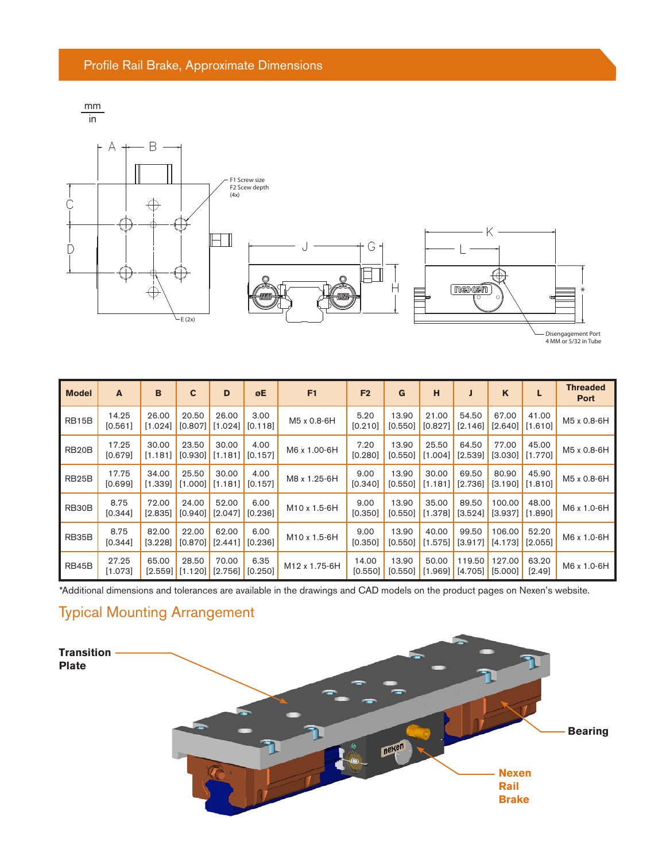





Disengagement Port 4 MM or 5/32 in Tube

| <b>Model</b>       | A                | B                  | $\mathbf c$      | D                  | øE              | F1                       | F <sub>2</sub>   | G                | н                          | J                  | $\mathbf K$       | L                  | <b>Threaded</b><br><b>Port</b> |
|--------------------|------------------|--------------------|------------------|--------------------|-----------------|--------------------------|------------------|------------------|----------------------------|--------------------|-------------------|--------------------|--------------------------------|
| <b>RB15B</b>       | 14.25<br>[0.561] | 26.00<br>$[1.024]$ | 20.50<br>[0.807] | 26.00<br>$[1.024]$ | 3.00<br>[0.118] | M5 x 0.8-6H              | 5.20<br>[0.210]  | 13.90<br>[0.550] | 21.00<br>$[0.827]$         | 54.50<br>$[2.146]$ | 67.00<br>[2.640]  | 41.00<br>[1.610]   | M5 x 0.8-6H                    |
| RB <sub>20</sub> B | 17.25<br>[0.679] | 30.00<br>[1.181]   | 23.50<br>[0.930] | 30.00<br>[1.181]   | 4.00<br>[0.157] | M6 x 1.00-6H             | 7.20<br>[0.280]  | 13.90<br>[0.550] | 25.50<br>[1.004]           | 64.50<br>$[2.539]$ | 77.00<br>[3.030]  | 45.00<br>[1.770]   | M5 x 0.8-6H                    |
| RB <sub>25</sub> B | 17.75<br>[0.699] | 34.00<br>$[1.339]$ | 25.50<br>[1.000] | 30.00<br>[1.181]   | 4.00<br>[0.157] | M8 x 1.25-6H             | 9.00<br>[0.340]  | 13.90<br>[0.550] | 30.00<br>$[1.181]$ [2.736] | 69.50              | 80.90<br>[3.190]  | 45.90<br>[1.810]   | M5 x 0.8-6H                    |
| RB30B              | 8.75<br>[0.344]  | 72.00<br>$[2.835]$ | 24.00<br>[0.940] | 52.00<br>[2.047]   | 6.00<br>[0.236] | M <sub>10</sub> x 1.5-6H | 9.00<br>[0.350]  | 13.90<br>[0.550] | 35.00<br>$[1.378]$         | 89.50<br>$[3.524]$ | 100.00<br>[3.937] | 48.00<br>[1.890]   | M6 x 1.0-6H                    |
| RB35B              | 8.75<br>[0.344]  | 82.00<br>$[3.228]$ | 22.00<br>[0.870] | 62.00<br>[2.441]   | 6.00<br>[0.236] | M10 x 1.5-6H             | 9.00<br>[0.350]  | 13.90<br>[0.550] | 40.00<br>[1.575]           | 99.50<br>[3.917]   | 106.00<br>[4.173] | 52.20<br>$[2.055]$ | M6 x 1.0-6H                    |
| RB45B              | 27.25<br>[1.073] | 65.00<br>$[2.559]$ | 28.50<br>[1.120] | 70.00<br>$[2.756]$ | 6.35<br>[0.250] | M12 x 1.75-6H            | 14.00<br>[0.550] | 13.90<br>[0.550] | 50.00<br>$[1.969]$         | 119.50<br>[4.705]  | 127.00<br>[5.000] | 63.20<br>$[2.49]$  | M6 x 1.0-6H                    |

\*Additional dimensions and tolerances are available in the drawings and CAD models on the product pages on Nexen's website.

# Typical Mounting Arrangement